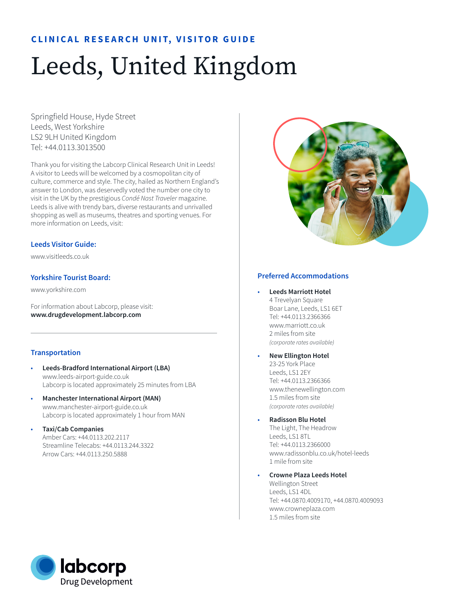# **CLINICAL RESEARCH UNIT, VISITOR GUIDE**

# Leeds, United Kingdom

Springfield House, Hyde Street Leeds, West Yorkshire LS2 9LH United Kingdom Tel: +44.0113.3013500

Thank you for visiting the Labcorp Clinical Research Unit in Leeds! A visitor to Leeds will be welcomed by a cosmopolitan city of culture, commerce and style. The city, hailed as Northern England's answer to London, was deservedly voted the number one city to visit in the UK by the prestigious *Condé Nast Traveler* magazine. Leeds is alive with trendy bars, diverse restaurants and unrivalled shopping as well as museums, theatres and sporting venues. For more information on Leeds, visit:

## **Leeds Visitor Guide:**

www.visitleeds.co.uk

## **Yorkshire Tourist Board:**

www.yorkshire.com

For information about Labcorp, please visit: **www.drugdevelopment.labcorp.com** 

## **Transportation**

- **Leeds-Bradford International Airport (LBA)** www.leeds-airport-guide.co.uk Labcorp is located approximately 25 minutes from LBA
- **Manchester International Airport (MAN)** www.manchester-airport-guide.co.uk Labcorp is located approximately 1 hour from MAN
- **Taxi/Cab Companies**  Amber Cars: +44.0113.202.2117 Streamline Telecabs: +44.0113.244.3322 Arrow Cars: +44.0113.250.5888



## **Preferred Accommodations**

- **Leeds Marriott Hotel** 4 Trevelyan Square Boar Lane, Leeds, LS1 6ET Tel: +44.0113.2366366 www.marriott.co.uk 2 miles from site *(corporate rates available)*
- **New Ellington Hotel** 23-25 York Place Leeds, LS1 2EY Tel: +44.0113.2366366 www.thenewellington.com 1.5 miles from site *(corporate rates available)*
- **Radisson Blu Hotel** The Light, The Headrow Leeds, LS1 8TL Tel: +44.0113.2366000 www.radissonblu.co.uk/hotel-leeds 1 mile from site
- **Crowne Plaza Leeds Hotel** Wellington Street Leeds, LS1 4DL Tel: +44.0870.4009170, +44.0870.4009093 www.crowneplaza.com 1.5 miles from site